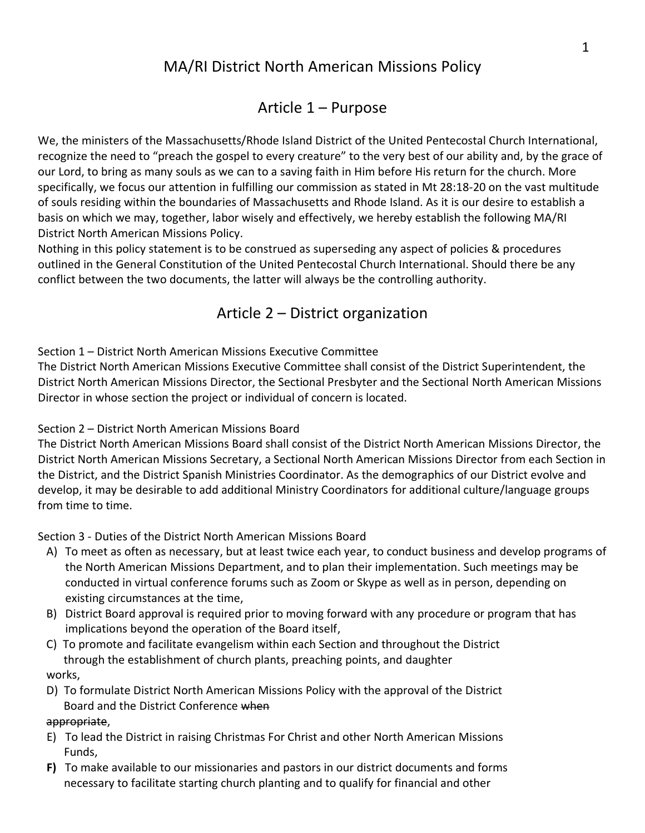# MA/RI District North American Missions Policy

# Article 1 – Purpose

We, the ministers of the Massachusetts/Rhode Island District of the United Pentecostal Church International, recognize the need to "preach the gospel to every creature" to the very best of our ability and, by the grace of our Lord, to bring as many souls as we can to a saving faith in Him before His return for the church. More specifically, we focus our attention in fulfilling our commission as stated in Mt 28:18-20 on the vast multitude of souls residing within the boundaries of Massachusetts and Rhode Island. As it is our desire to establish a basis on which we may, together, labor wisely and effectively, we hereby establish the following MA/RI District North American Missions Policy.

Nothing in this policy statement is to be construed as superseding any aspect of policies & procedures outlined in the General Constitution of the United Pentecostal Church International. Should there be any conflict between the two documents, the latter will always be the controlling authority.

# Article 2 – District organization

Section 1 – District North American Missions Executive Committee

The District North American Missions Executive Committee shall consist of the District Superintendent, the District North American Missions Director, the Sectional Presbyter and the Sectional North American Missions Director in whose section the project or individual of concern is located.

## Section 2 – District North American Missions Board

The District North American Missions Board shall consist of the District North American Missions Director, the District North American Missions Secretary, a Sectional North American Missions Director from each Section in the District, and the District Spanish Ministries Coordinator. As the demographics of our District evolve and develop, it may be desirable to add additional Ministry Coordinators for additional culture/language groups from time to time.

Section 3 - Duties of the District North American Missions Board

- A) To meet as often as necessary, but at least twice each year, to conduct business and develop programs of the North American Missions Department, and to plan their implementation. Such meetings may be conducted in virtual conference forums such as Zoom or Skype as well as in person, depending on existing circumstances at the time,
- B) District Board approval is required prior to moving forward with any procedure or program that has implications beyond the operation of the Board itself,
- C) To promote and facilitate evangelism within each Section and throughout the District through the establishment of church plants, preaching points, and daughter works,
- D) To formulate District North American Missions Policy with the approval of the District Board and the District Conference when

### appropriate,

- E) To lead the District in raising Christmas For Christ and other North American Missions Funds,
- **F)** To make available to our missionaries and pastors in our district documents and forms necessary to facilitate starting church planting and to qualify for financial and other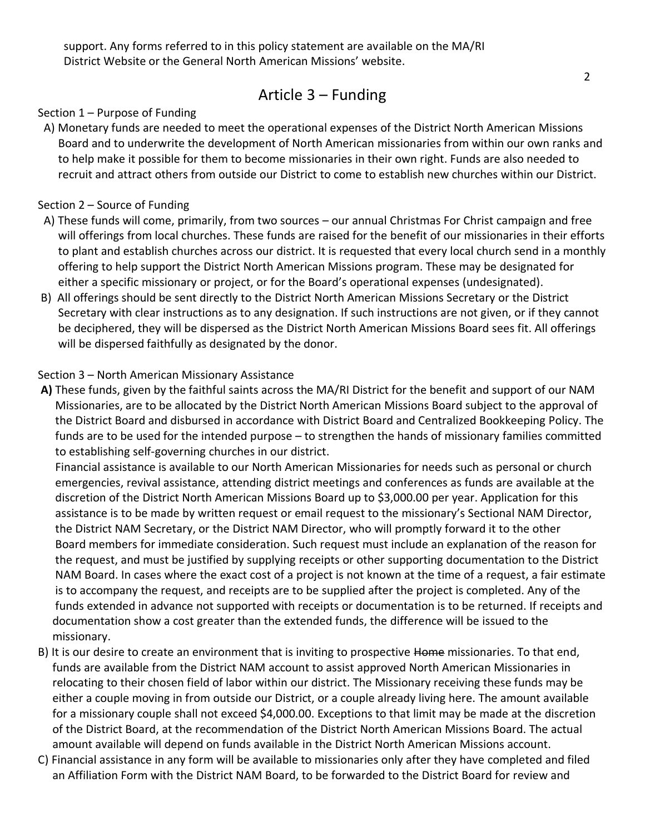## Article 3 – Funding

#### Section 1 – Purpose of Funding

 A) Monetary funds are needed to meet the operational expenses of the District North American Missions Board and to underwrite the development of North American missionaries from within our own ranks and to help make it possible for them to become missionaries in their own right. Funds are also needed to recruit and attract others from outside our District to come to establish new churches within our District.

#### Section 2 – Source of Funding

- A) These funds will come, primarily, from two sources our annual Christmas For Christ campaign and free will offerings from local churches. These funds are raised for the benefit of our missionaries in their efforts to plant and establish churches across our district. It is requested that every local church send in a monthly offering to help support the District North American Missions program. These may be designated for either a specific missionary or project, or for the Board's operational expenses (undesignated).
- B) All offerings should be sent directly to the District North American Missions Secretary or the District Secretary with clear instructions as to any designation. If such instructions are not given, or if they cannot be deciphered, they will be dispersed as the District North American Missions Board sees fit. All offerings will be dispersed faithfully as designated by the donor.

#### Section 3 – North American Missionary Assistance

**A)** These funds, given by the faithful saints across the MA/RI District for the benefit and support of our NAM Missionaries, are to be allocated by the District North American Missions Board subject to the approval of the District Board and disbursed in accordance with District Board and Centralized Bookkeeping Policy. The funds are to be used for the intended purpose – to strengthen the hands of missionary families committed to establishing self-governing churches in our district.

 Financial assistance is available to our North American Missionaries for needs such as personal or church emergencies, revival assistance, attending district meetings and conferences as funds are available at the discretion of the District North American Missions Board up to \$3,000.00 per year. Application for this assistance is to be made by written request or email request to the missionary's Sectional NAM Director, the District NAM Secretary, or the District NAM Director, who will promptly forward it to the other Board members for immediate consideration. Such request must include an explanation of the reason for the request, and must be justified by supplying receipts or other supporting documentation to the District NAM Board. In cases where the exact cost of a project is not known at the time of a request, a fair estimate is to accompany the request, and receipts are to be supplied after the project is completed. Any of the funds extended in advance not supported with receipts or documentation is to be returned. If receipts and documentation show a cost greater than the extended funds, the difference will be issued to the missionary.

- B) It is our desire to create an environment that is inviting to prospective Home missionaries. To that end, funds are available from the District NAM account to assist approved North American Missionaries in relocating to their chosen field of labor within our district. The Missionary receiving these funds may be either a couple moving in from outside our District, or a couple already living here. The amount available for a missionary couple shall not exceed \$4,000.00. Exceptions to that limit may be made at the discretion of the District Board, at the recommendation of the District North American Missions Board. The actual amount available will depend on funds available in the District North American Missions account.
- C) Financial assistance in any form will be available to missionaries only after they have completed and filed an Affiliation Form with the District NAM Board, to be forwarded to the District Board for review and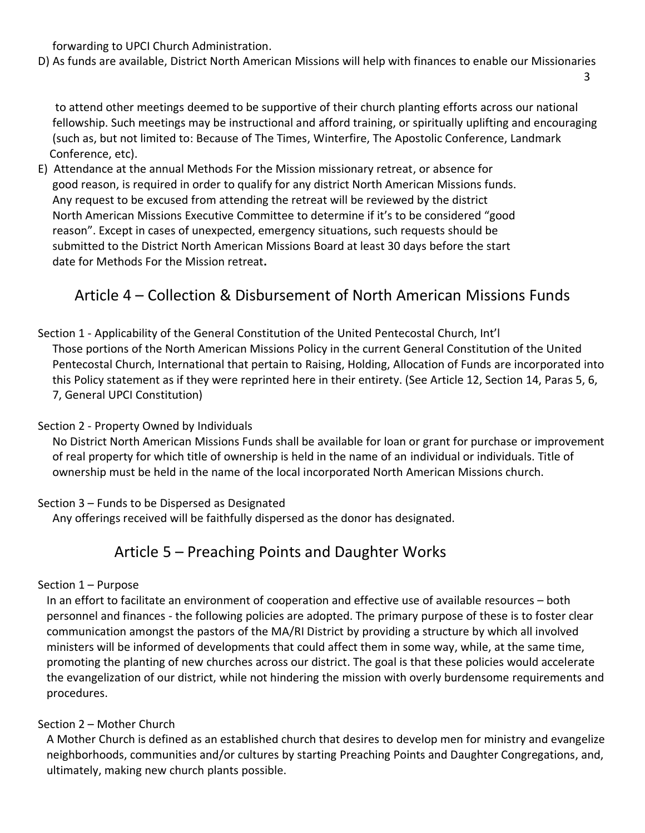forwarding to UPCI Church Administration.

D) As funds are available, District North American Missions will help with finances to enable our Missionaries  $\sim$  3

 to attend other meetings deemed to be supportive of their church planting efforts across our national fellowship. Such meetings may be instructional and afford training, or spiritually uplifting and encouraging (such as, but not limited to: Because of The Times, Winterfire, The Apostolic Conference, Landmark Conference, etc).

E) Attendance at the annual Methods For the Mission missionary retreat, or absence for good reason, is required in order to qualify for any district North American Missions funds. Any request to be excused from attending the retreat will be reviewed by the district North American Missions Executive Committee to determine if it's to be considered "good reason". Except in cases of unexpected, emergency situations, such requests should be submitted to the District North American Missions Board at least 30 days before the start date for Methods For the Mission retreat**.**

# Article 4 – Collection & Disbursement of North American Missions Funds

### Section 1 - Applicability of the General Constitution of the United Pentecostal Church, Int'l Those portions of the North American Missions Policy in the current General Constitution of the United Pentecostal Church, International that pertain to Raising, Holding, Allocation of Funds are incorporated into this Policy statement as if they were reprinted here in their entirety. (See Article 12, Section 14, Paras 5, 6, 7, General UPCI Constitution)

### Section 2 - Property Owned by Individuals

 No District North American Missions Funds shall be available for loan or grant for purchase or improvement of real property for which title of ownership is held in the name of an individual or individuals. Title of ownership must be held in the name of the local incorporated North American Missions church.

### Section 3 – Funds to be Dispersed as Designated

Any offerings received will be faithfully dispersed as the donor has designated.

## Article 5 – Preaching Points and Daughter Works

### Section 1 – Purpose

 In an effort to facilitate an environment of cooperation and effective use of available resources – both personnel and finances - the following policies are adopted. The primary purpose of these is to foster clear communication amongst the pastors of the MA/RI District by providing a structure by which all involved ministers will be informed of developments that could affect them in some way, while, at the same time, promoting the planting of new churches across our district. The goal is that these policies would accelerate the evangelization of our district, while not hindering the mission with overly burdensome requirements and procedures.

### Section 2 – Mother Church

 A Mother Church is defined as an established church that desires to develop men for ministry and evangelize neighborhoods, communities and/or cultures by starting Preaching Points and Daughter Congregations, and, ultimately, making new church plants possible.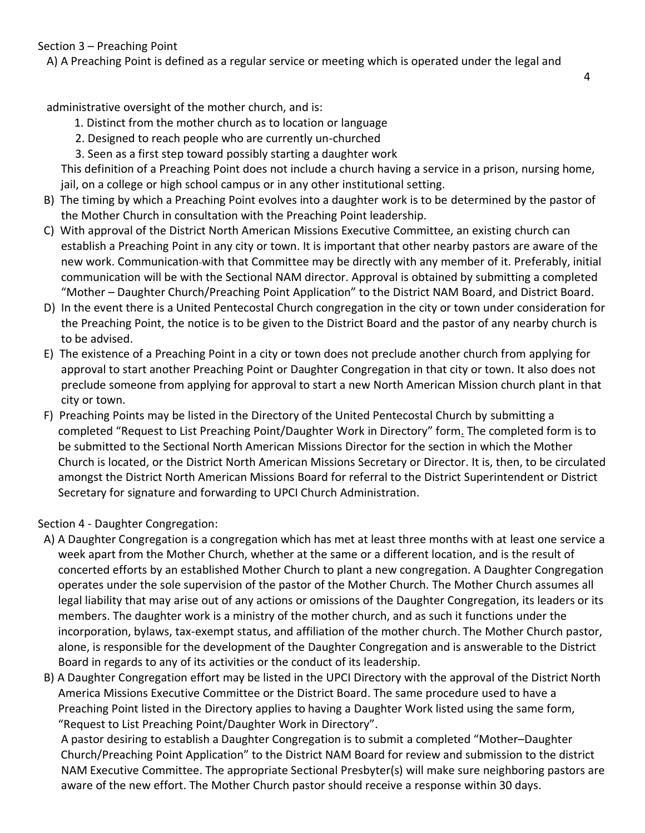A) A Preaching Point is defined as a regular service or meeting which is operated under the legal and

administrative oversight of the mother church, and is:

- 1. Distinct from the mother church as to location or language
- 2. Designed to reach people who are currently un-churched
- 3. Seen as a first step toward possibly starting a daughter work

 This definition of a Preaching Point does not include a church having a service in a prison, nursing home, jail, on a college or high school campus or in any other institutional setting.

- B) The timing by which a Preaching Point evolves into a daughter work is to be determined by the pastor of the Mother Church in consultation with the Preaching Point leadership.
- C) With approval of the District North American Missions Executive Committee, an existing church can establish a Preaching Point in any city or town. It is important that other nearby pastors are aware of the new work. Communication-with that Committee may be directly with any member of it. Preferably, initial communication will be with the Sectional NAM director. Approval is obtained by submitting a completed "Mother – Daughter Church/Preaching Point Application" to the District NAM Board, and District Board.
- D) In the event there is a United Pentecostal Church congregation in the city or town under consideration for the Preaching Point, the notice is to be given to the District Board and the pastor of any nearby church is to be advised.
- E) The existence of a Preaching Point in a city or town does not preclude another church from applying for approval to start another Preaching Point or Daughter Congregation in that city or town. It also does not preclude someone from applying for approval to start a new North American Mission church plant in that city or town.
- F) Preaching Points may be listed in the Directory of the United Pentecostal Church by submitting a completed "Request to List Preaching Point/Daughter Work in Directory" form. The completed form is to be submitted to the Sectional North American Missions Director for the section in which the Mother Church is located, or the District North American Missions Secretary or Director. It is, then, to be circulated amongst the District North American Missions Board for referral to the District Superintendent or District Secretary for signature and forwarding to UPCI Church Administration.

Section 4 - Daughter Congregation:

- A) A Daughter Congregation is a congregation which has met at least three months with at least one service a week apart from the Mother Church, whether at the same or a different location, and is the result of concerted efforts by an established Mother Church to plant a new congregation. A Daughter Congregation operates under the sole supervision of the pastor of the Mother Church. The Mother Church assumes all legal liability that may arise out of any actions or omissions of the Daughter Congregation, its leaders or its members. The daughter work is a ministry of the mother church, and as such it functions under the incorporation, bylaws, tax-exempt status, and affiliation of the mother church. The Mother Church pastor, alone, is responsible for the development of the Daughter Congregation and is answerable to the District Board in regards to any of its activities or the conduct of its leadership.
- B) A Daughter Congregation effort may be listed in the UPCI Directory with the approval of the District North America Missions Executive Committee or the District Board. The same procedure used to have a Preaching Point listed in the Directory applies to having a Daughter Work listed using the same form, "Request to List Preaching Point/Daughter Work in Directory".

 A pastor desiring to establish a Daughter Congregation is to submit a completed "Mother–Daughter Church/Preaching Point Application" to the District NAM Board for review and submission to the district NAM Executive Committee. The appropriate Sectional Presbyter(s) will make sure neighboring pastors are aware of the new effort. The Mother Church pastor should receive a response within 30 days.

4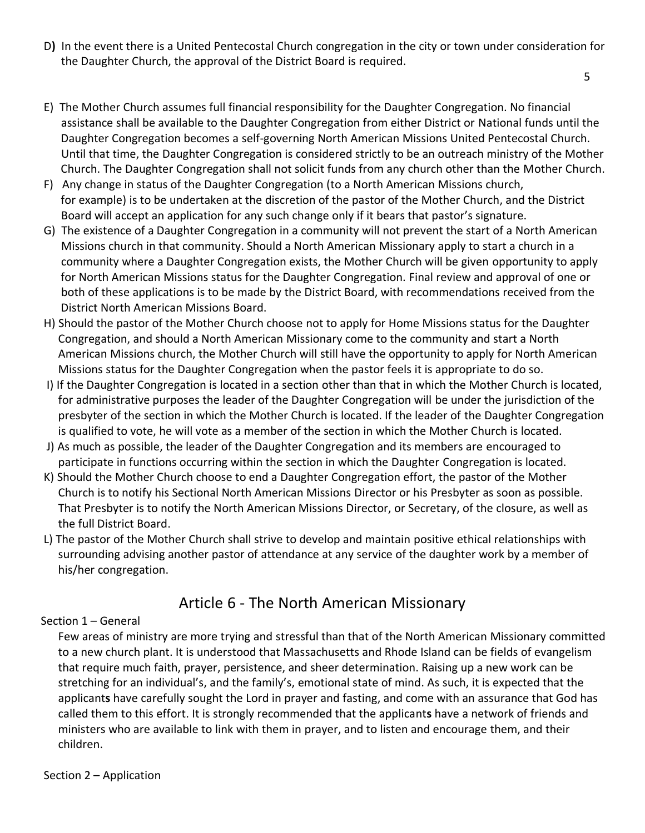D**)** In the event there is a United Pentecostal Church congregation in the city or town under consideration for the Daughter Church, the approval of the District Board is required.

the contract of the contract of the contract of the contract of the contract of the contract of the contract o

- E) The Mother Church assumes full financial responsibility for the Daughter Congregation. No financial assistance shall be available to the Daughter Congregation from either District or National funds until the Daughter Congregation becomes a self-governing North American Missions United Pentecostal Church. Until that time, the Daughter Congregation is considered strictly to be an outreach ministry of the Mother Church. The Daughter Congregation shall not solicit funds from any church other than the Mother Church.
- F) Any change in status of the Daughter Congregation (to a North American Missions church, for example) is to be undertaken at the discretion of the pastor of the Mother Church, and the District Board will accept an application for any such change only if it bears that pastor's signature.
- G) The existence of a Daughter Congregation in a community will not prevent the start of a North American Missions church in that community. Should a North American Missionary apply to start a church in a community where a Daughter Congregation exists, the Mother Church will be given opportunity to apply for North American Missions status for the Daughter Congregation. Final review and approval of one or both of these applications is to be made by the District Board, with recommendations received from the District North American Missions Board.
- H) Should the pastor of the Mother Church choose not to apply for Home Missions status for the Daughter Congregation, and should a North American Missionary come to the community and start a North American Missions church, the Mother Church will still have the opportunity to apply for North American Missions status for the Daughter Congregation when the pastor feels it is appropriate to do so.
- I) If the Daughter Congregation is located in a section other than that in which the Mother Church is located, for administrative purposes the leader of the Daughter Congregation will be under the jurisdiction of the presbyter of the section in which the Mother Church is located. If the leader of the Daughter Congregation is qualified to vote, he will vote as a member of the section in which the Mother Church is located.
- J) As much as possible, the leader of the Daughter Congregation and its members are encouraged to participate in functions occurring within the section in which the Daughter Congregation is located.
- K) Should the Mother Church choose to end a Daughter Congregation effort, the pastor of the Mother Church is to notify his Sectional North American Missions Director or his Presbyter as soon as possible. That Presbyter is to notify the North American Missions Director, or Secretary, of the closure, as well as the full District Board.
- L) The pastor of the Mother Church shall strive to develop and maintain positive ethical relationships with surrounding advising another pastor of attendance at any service of the daughter work by a member of his/her congregation.

# Article 6 - The North American Missionary

### Section 1 – General

 Few areas of ministry are more trying and stressful than that of the North American Missionary committed to a new church plant. It is understood that Massachusetts and Rhode Island can be fields of evangelism that require much faith, prayer, persistence, and sheer determination. Raising up a new work can be stretching for an individual's, and the family's, emotional state of mind. As such, it is expected that the applicant**s** have carefully sought the Lord in prayer and fasting, and come with an assurance that God has called them to this effort. It is strongly recommended that the applicant**s** have a network of friends and ministers who are available to link with them in prayer, and to listen and encourage them, and their children.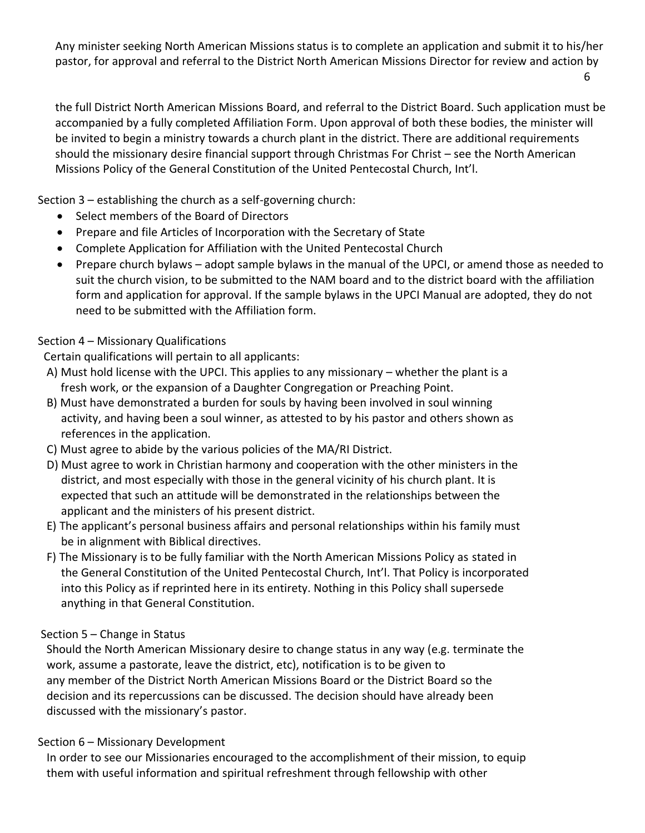Any minister seeking North American Missions status is to complete an application and submit it to his/her pastor, for approval and referral to the District North American Missions Director for review and action by

6

 the full District North American Missions Board, and referral to the District Board. Such application must be accompanied by a fully completed Affiliation Form. Upon approval of both these bodies, the minister will be invited to begin a ministry towards a church plant in the district. There are additional requirements should the missionary desire financial support through Christmas For Christ – see the North American Missions Policy of the General Constitution of the United Pentecostal Church, Int'l.

Section 3 – establishing the church as a self-governing church:

- Select members of the Board of Directors
- Prepare and file Articles of Incorporation with the Secretary of State
- Complete Application for Affiliation with the United Pentecostal Church
- Prepare church bylaws adopt sample bylaws in the manual of the UPCI, or amend those as needed to suit the church vision, to be submitted to the NAM board and to the district board with the affiliation form and application for approval. If the sample bylaws in the UPCI Manual are adopted, they do not need to be submitted with the Affiliation form.

## Section 4 – Missionary Qualifications

Certain qualifications will pertain to all applicants:

- A) Must hold license with the UPCI. This applies to any missionary whether the plant is a fresh work, or the expansion of a Daughter Congregation or Preaching Point.
- B) Must have demonstrated a burden for souls by having been involved in soul winning activity, and having been a soul winner, as attested to by his pastor and others shown as references in the application.
- C) Must agree to abide by the various policies of the MA/RI District.
- D) Must agree to work in Christian harmony and cooperation with the other ministers in the district, and most especially with those in the general vicinity of his church plant. It is expected that such an attitude will be demonstrated in the relationships between the applicant and the ministers of his present district.
- E) The applicant's personal business affairs and personal relationships within his family must be in alignment with Biblical directives.
- F) The Missionary is to be fully familiar with the North American Missions Policy as stated in the General Constitution of the United Pentecostal Church, Int'l. That Policy is incorporated into this Policy as if reprinted here in its entirety. Nothing in this Policy shall supersede anything in that General Constitution.

## Section 5 – Change in Status

 Should the North American Missionary desire to change status in any way (e.g. terminate the work, assume a pastorate, leave the district, etc), notification is to be given to any member of the District North American Missions Board or the District Board so the decision and its repercussions can be discussed. The decision should have already been discussed with the missionary's pastor.

## Section 6 – Missionary Development

 In order to see our Missionaries encouraged to the accomplishment of their mission, to equip them with useful information and spiritual refreshment through fellowship with other